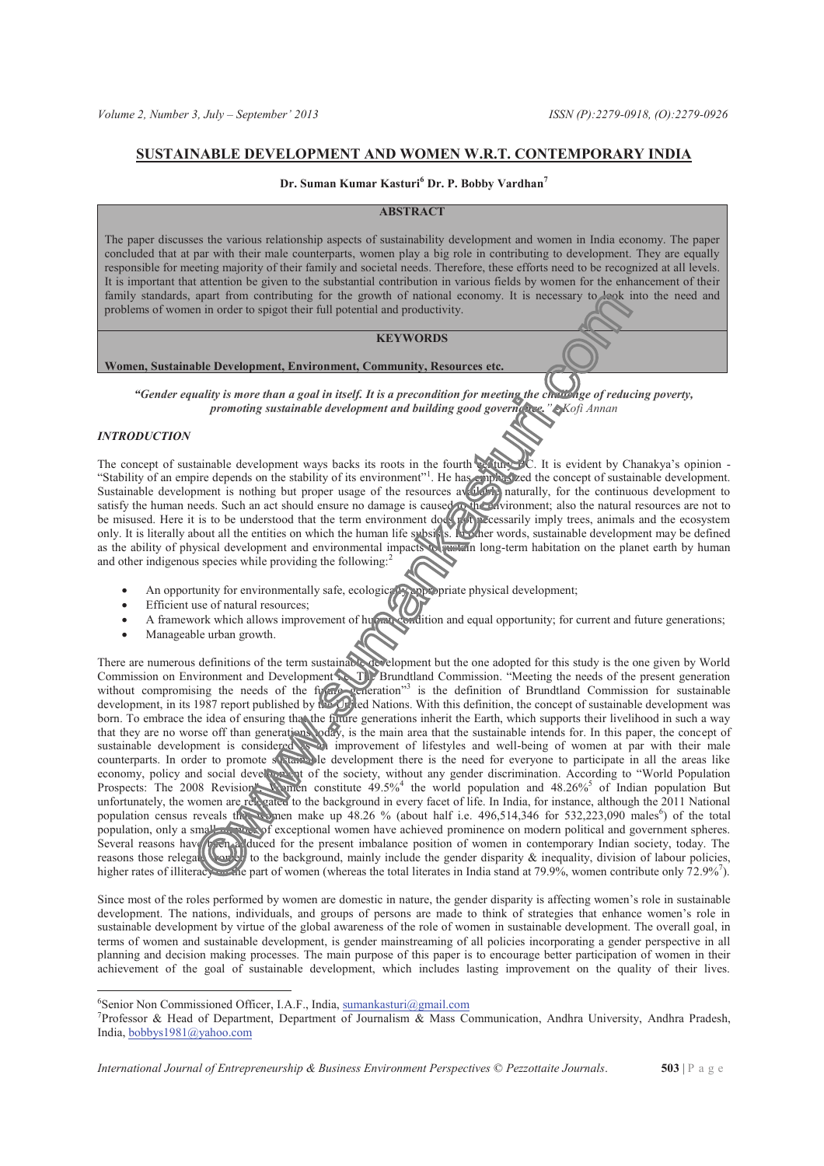# **SUSTAINABLE DEVELOPMENT AND WOMEN W.R.T. CONTEMPORARY INDIA**

## **Dr. Suman Kumar Kasturi<sup>6</sup> Dr. P. Bobby Vardhan<sup>7</sup>**

# **ABSTRACT**

The paper discusses the various relationship aspects of sustainability development and women in India economy. The paper concluded that at par with their male counterparts, women play a big role in contributing to development. They are equally responsible for meeting majority of their family and societal needs. Therefore, these efforts need to be recognized at all levels. It is important that attention be given to the substantial contribution in various fields by women for the enhancement of their family standards, apart from contributing for the growth of national economy. It is necessary to leak into the need and problems of women in order to spigot their full potential and productivity.

## **KEYWORDS**

#### **Women, Sustainable Development, Environment, Community, Resources etc.**

*"Gender equality is more than a goal in itself. It is a precondition for meeting the challenge of reducing poverty, promoting sustainable development and building good governance." - Kofi Annan* 

### *INTRODUCTION*

 $\overline{a}$ 

The concept of sustainable development ways backs its roots in the fourth century BC. It is evident by Chanakya's opinion -"Stability of an empire depends on the stability of its environment"<sup>1</sup>. He has emphasized the concept of sustainable development. Sustainable development is nothing but proper usage of the resources available naturally, for the continuous development to satisfy the human needs. Such an act should ensure no damage is caused to the environment; also the natural resources are not to be misused. Here it is to be understood that the term environment does not necessarily imply trees, animals and the ecosystem only. It is literally about all the entities on which the human life subsists. In other words, sustainable development may be defined as the ability of physical development and environmental impacts to eastern long-term habitation on the planet earth by human and other indigenous species while providing the following:<sup>2</sup>

- An opportunity for environmentally safe, ecologically appropriate physical development;
- · Efficient use of natural resources;
- A framework which allows improvement of human condition and equal opportunity; for current and future generations;
- · Manageable urban growth.

There are numerous definitions of the term sustainable development but the one adopted for this study is the one given by World Commission on Environment and Development in The Brundtland Commission. "Meeting the needs of the present generation without compromising the needs of the further generation"<sup>3</sup> is the definition of Brundtland Commission for sustainable development, in its 1987 report published by the United Nations. With this definition, the concept of sustainable development was born. To embrace the idea of ensuring that the future generations inherit the Earth, which supports their livelihood in such a way that they are no worse off than generations today, is the main area that the sustainable intends for. In this paper, the concept of sustainable development is considered as an improvement of lifestyles and well-being of women at par with their male counterparts. In order to promote sustainable development there is the need for everyone to participate in all the areas like economy, policy and social development of the society, without any gender discrimination. According to "World Population Prospects: The 2008 Revision women constitute 49.5%<sup>4</sup> the world population and 48.26%<sup>5</sup> of Indian population But unfortunately, the women are relegated to the background in every facet of life. In India, for instance, although the 2011 National population census reveals the women make up  $\overline{48.26}$  % (about half i.e.  $\overline{496,514,346}$  for  $\overline{532,223,090}$  males<sup>6</sup>) of the total population, only a small number of exceptional women have achieved prominence on modern political and government spheres. Several reasons have been adduced for the present imbalance position of women in contemporary Indian society, today. The reasons those relegated worked to the background, mainly include the gender disparity  $\&$  inequality, division of labour policies, higher rates of illiteracy and epart of women (whereas the total literates in India stand at 79.9%, women contribute only 72.9%<sup>7</sup>).

Since most of the roles performed by women are domestic in nature, the gender disparity is affecting women's role in sustainable development. The nations, individuals, and groups of persons are made to think of strategies that enhance women's role in sustainable development by virtue of the global awareness of the role of women in sustainable development. The overall goal, in terms of women and sustainable development, is gender mainstreaming of all policies incorporating a gender perspective in all planning and decision making processes. The main purpose of this paper is to encourage better participation of women in their achievement of the goal of sustainable development, which includes lasting improvement on the quality of their lives.

<sup>&</sup>lt;sup>6</sup>Senior Non Commissioned Officer, I.A.F., India, sumankasturi@gmail.com

<sup>7</sup> Professor & Head of Department, Department of Journalism & Mass Communication, Andhra University, Andhra Pradesh, India, bobbys1981@yahoo.com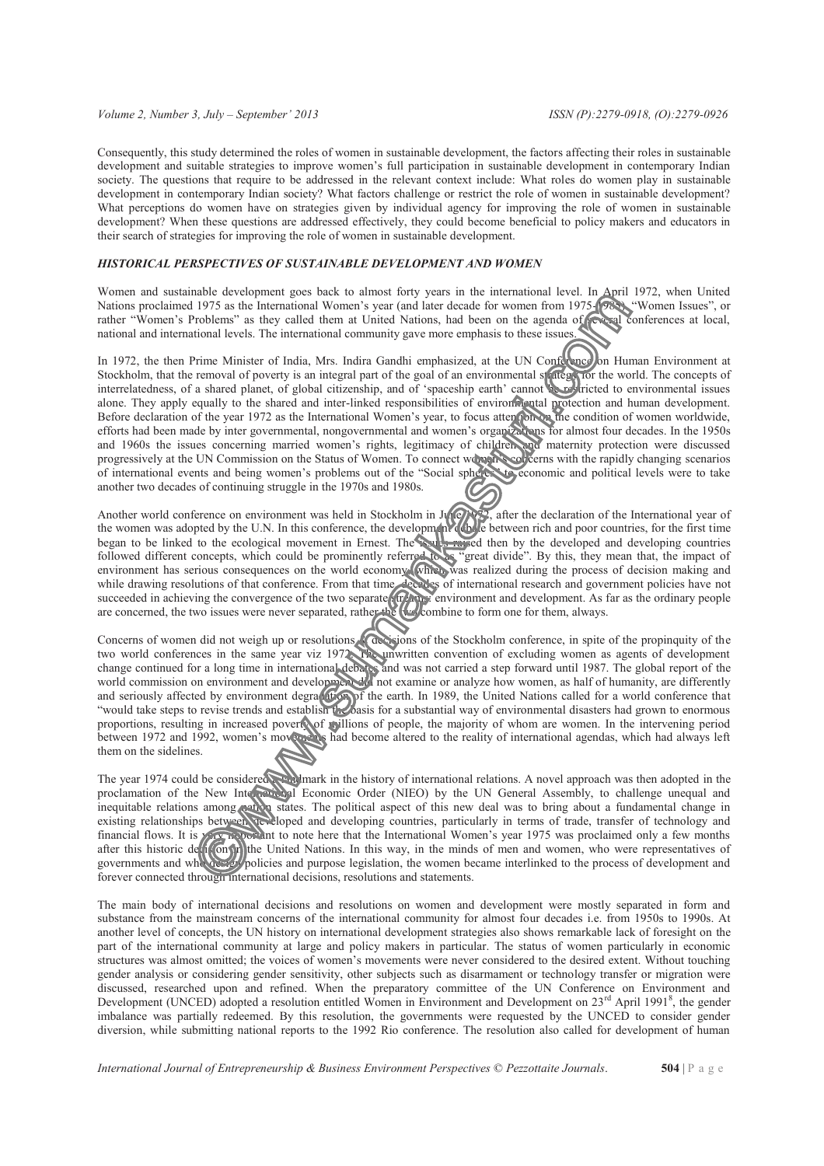#### *Volume 2, Number 3, July – September' 2013 ISSN (P):2279-0918, (O):2279-0926*

Consequently, this study determined the roles of women in sustainable development, the factors affecting their roles in sustainable development and suitable strategies to improve women's full participation in sustainable development in contemporary Indian society. The questions that require to be addressed in the relevant context include: What roles do women play in sustainable development in contemporary Indian society? What factors challenge or restrict the role of women in sustainable development? What perceptions do women have on strategies given by individual agency for improving the role of women in sustainable development? When these questions are addressed effectively, they could become beneficial to policy makers and educators in their search of strategies for improving the role of women in sustainable development.

### *HISTORICAL PERSPECTIVES OF SUSTAINABLE DEVELOPMENT AND WOMEN*

Women and sustainable development goes back to almost forty years in the international level. In April 1972, when United Women and sustainable development goes back to annote forty years in the international Table Women Issues", or<br>Nations proclaimed 1975 as the International Women's year (and later decade for women from 1975-1985). "Women I rather "Women's Problems" as they called them at United Nations, had been on the agenda of several conferences at local, national and international levels. The international community gave more emphasis to these issues.

In 1972, the then Prime Minister of India, Mrs. Indira Gandhi emphasized, at the UN Conference on Human Environment at Stockholm, that the removal of poverty is an integral part of the goal of an environmental strategy for the world. The concepts of interrelatedness, of a shared planet, of global citizenship, and of 'spaceship earth' cannot be restricted to environmental issues alone. They apply equally to the shared and inter-linked responsibilities of environmental protection and human development. Before declaration of the year 1972 as the International Women's year, to focus attention of medition of women worldwide, efforts had been made by inter governmental, nongovernmental and women's organizations for almost four decades. In the 1950s and 1960s the issues concerning married women's rights, legitimacy of children and maternity protection were discussed progressively at the UN Commission on the Status of Women. To connect women's concerns with the rapidly changing scenarios of international events and being women's problems out of the "Social spheres" to economic and political levels were to take another two decades of continuing struggle in the 1970s and 1980s.

Another world conference on environment was held in Stockholm in June 1982, after the declaration of the International year of the women was adopted by the U.N. In this conference, the development debate between rich and poor countries, for the first time began to be linked to the ecological movement in Ernest. The souls raised then by the developed and developing countries followed different concepts, which could be prominently referred to as "great divide". By this, they mean that, the impact of environment has serious consequences on the world economy. Which was realized during the process of decision making and while drawing resolutions of that conference. From that time, decades of international research and government policies have not succeeded in achieving the convergence of the two separate streams: environment and development. As far as the ordinary people are concerned, the two issues were never separated, rather the two combine to form one for them, always.

Concerns of women did not weigh up or resolutions & decisions of the Stockholm conference, in spite of the propinquity of the two world conferences in the same year viz 1972. The uniwritten convention of excluding women as agents of development change continued for a long time in international debates and was not carried a step forward until 1987. The global report of the world commission on environment and development did not examine or analyze how women, as half of humanity, are differently and seriously affected by environment degradation of the earth. In 1989, the United Nations called for a world conference that "would take steps to revise trends and establish the basis for a substantial way of environmental disasters had grown to enormous proportions, resulting in increased poverty of millions of people, the majority of whom are women. In the intervening period between 1972 and 1992, women's movements had become altered to the reality of international agendas, which had always left them on the sidelines.

The year 1974 could be considered a langle mark in the history of international relations. A novel approach was then adopted in the proclamation of the New International Economic Order (NIEO) by the UN General Assembly, to challenge unequal and inequitable relations among nation states. The political aspect of this new deal was to bring about a fundamental change in existing relationships between developed and developing countries, particularly in terms of trade, transfer of technology and financial flows. It is very portant to note here that the International Women's year 1975 was proclaimed only a few months after this historic deti<sub>i</sub>on in the United Nations. In this way, in the minds of men and women, who were representatives of governments and who design policies and purpose legislation, the women became interlinked to the process of development and forever connected through international decisions, resolutions and statements.

The main body of international decisions and resolutions on women and development were mostly separated in form and substance from the mainstream concerns of the international community for almost four decades i.e. from 1950s to 1990s. At another level of concepts, the UN history on international development strategies also shows remarkable lack of foresight on the part of the international community at large and policy makers in particular. The status of women particularly in economic structures was almost omitted; the voices of women's movements were never considered to the desired extent. Without touching gender analysis or considering gender sensitivity, other subjects such as disarmament or technology transfer or migration were discussed, researched upon and refined. When the preparatory committee of the UN Conference on Environment and Development (UNCED) adopted a resolution entitled Women in Environment and Development on  $23<sup>rd</sup>$  April 1991<sup>8</sup>, the gender imbalance was partially redeemed. By this resolution, the governments were requested by the UNCED to consider gender diversion, while submitting national reports to the 1992 Rio conference. The resolution also called for development of human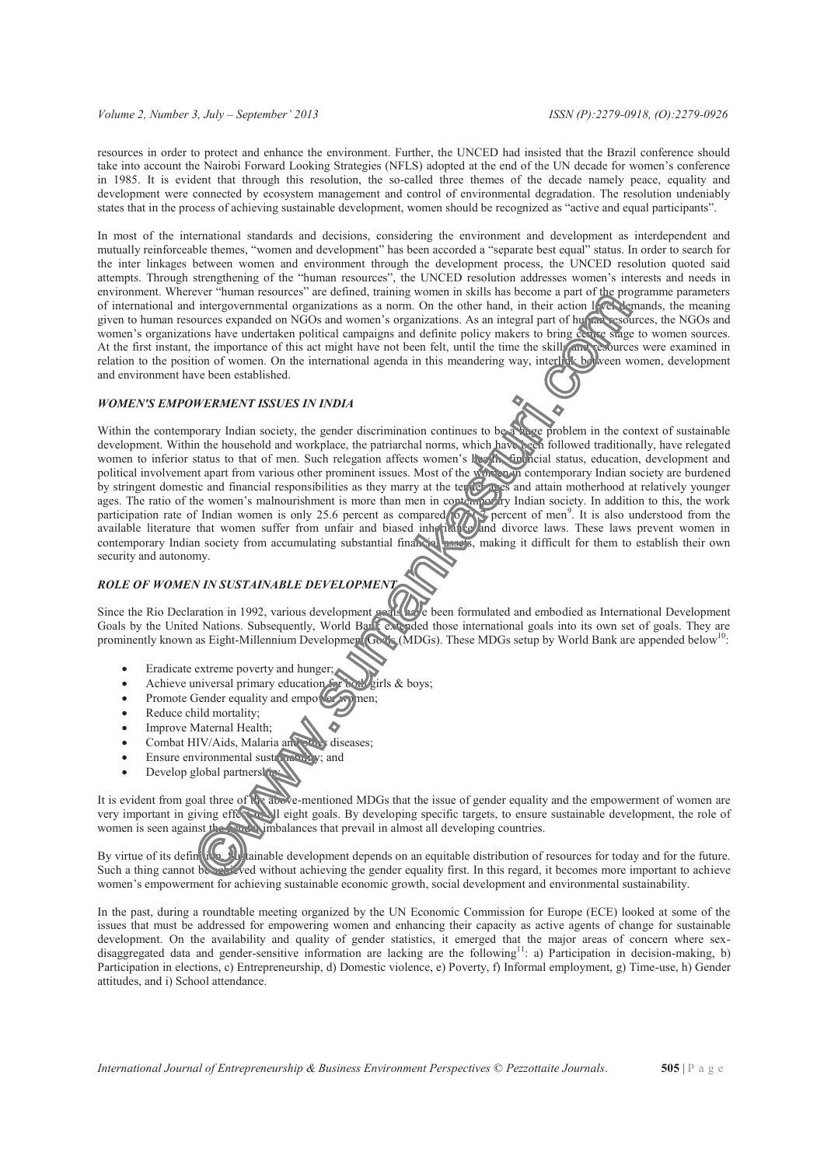#### *Volume 2, Number 3, July – September' 2013 ISSN (P):2279-0918, (O):2279-0926*

resources in order to protect and enhance the environment. Further, the UNCED had insisted that the Brazil conference should take into account the Nairobi Forward Looking Strategies (NFLS) adopted at the end of the UN decade for women's conference in 1985. It is evident that through this resolution, the so-called three themes of the decade namely peace, equality and development were connected by ecosystem management and control of environmental degradation. The resolution undeniably states that in the process of achieving sustainable development, women should be recognized as "active and equal participants".

In most of the international standards and decisions, considering the environment and development as interdependent and mutually reinforceable themes, "women and development" has been accorded a "separate best equal" status. In order to search for the inter linkages between women and environment through the development process, the UNCED resolution quoted said attempts. Through strengthening of the "human resources", the UNCED resolution addresses women's interests and needs in environment. Wherever "human resources" are defined, training women in skills has become a part of the programme parameters of international and intergovernmental organizations as a norm. On the other hand, in their action level demands, the meaning given to human resources expanded on NGOs and women's organizations. As an integral part of human resources, the NGOs and women's organizations have undertaken political campaigns and definite policy makers to bring centre stage to women sources. At the first instant, the importance of this act might have not been felt, until the time the skills and resources were examined in relation to the position of women. On the international agenda in this meandering way, interlink between women, development and environment have been established.

### *WOMEN'S EMPOWERMENT ISSUES IN INDIA*

Within the contemporary Indian society, the gender discrimination continues to be a huge problem in the context of sustainable development. Within the household and workplace, the patriarchal norms, which have been followed traditionally, have relegated women to inferior status to that of men. Such relegation affects women's health, financial status, education, development and political involvement apart from various other prominent issues. Most of the women in contemporary Indian society are burdened by stringent domestic and financial responsibilities as they marry at the tender ages and attain motherhood at relatively younger ages. The ratio of the women's malnourishment is more than men in contemporary Indian society. In addition to this, the work participation rate of Indian women is only 25.6 percent as compared  $\sqrt{2}$  percent of men<sup>9</sup>. It is also understood from the available literature that women suffer from unfair and biased inheritance and divorce laws. These laws prevent women in contemporary Indian society from accumulating substantial financial assets, making it difficult for them to establish their own security and autonomy.

## *ROLE OF WOMEN IN SUSTAINABLE DEVELOPMENT*

Since the Rio Declaration in 1992, various development goals have been formulated and embodied as International Development Goals by the United Nations. Subsequently, World Bank extended those international goals into its own set of goals. They are prominently known as Eight-Millennium Development Goals (MDGs). These MDGs setup by World Bank are appended below<sup>10</sup>:

- Eradicate extreme poverty and hunger;
- Achieve universal primary education for both girls & boys;
- Promote Gender equality and empower women;
- Reduce child mortality;
- · Improve Maternal Health;
- Combat HIV/Aids, Malaria and other diseases;
- Ensure environmental sustandability; and
- Develop global partnership

It is evident from goal three of the above-mentioned MDGs that the issue of gender equality and the empowerment of women are very important in giving effect and leight goals. By developing specific targets, to ensure sustainable development, the role of women is seen against the gender imbalances that prevail in almost all developing countries.

By virtue of its definition, Superinted development depends on an equitable distribution of resources for today and for the future. Such a thing cannot be achieved without achieving the gender equality first. In this regard, it becomes more important to achieve women's empowerment for achieving sustainable economic growth, social development and environmental sustainability.

In the past, during a roundtable meeting organized by the UN Economic Commission for Europe (ECE) looked at some of the issues that must be addressed for empowering women and enhancing their capacity as active agents of change for sustainable development. On the availability and quality of gender statistics, it emerged that the major areas of concern where sexdisaggregated data and gender-sensitive information are lacking are the following<sup>11</sup>: a) Participation in decision-making, b) Participation in elections, c) Entrepreneurship, d) Domestic violence, e) Poverty, f) Informal employment, g) Time-use, h) Gender attitudes, and i) School attendance.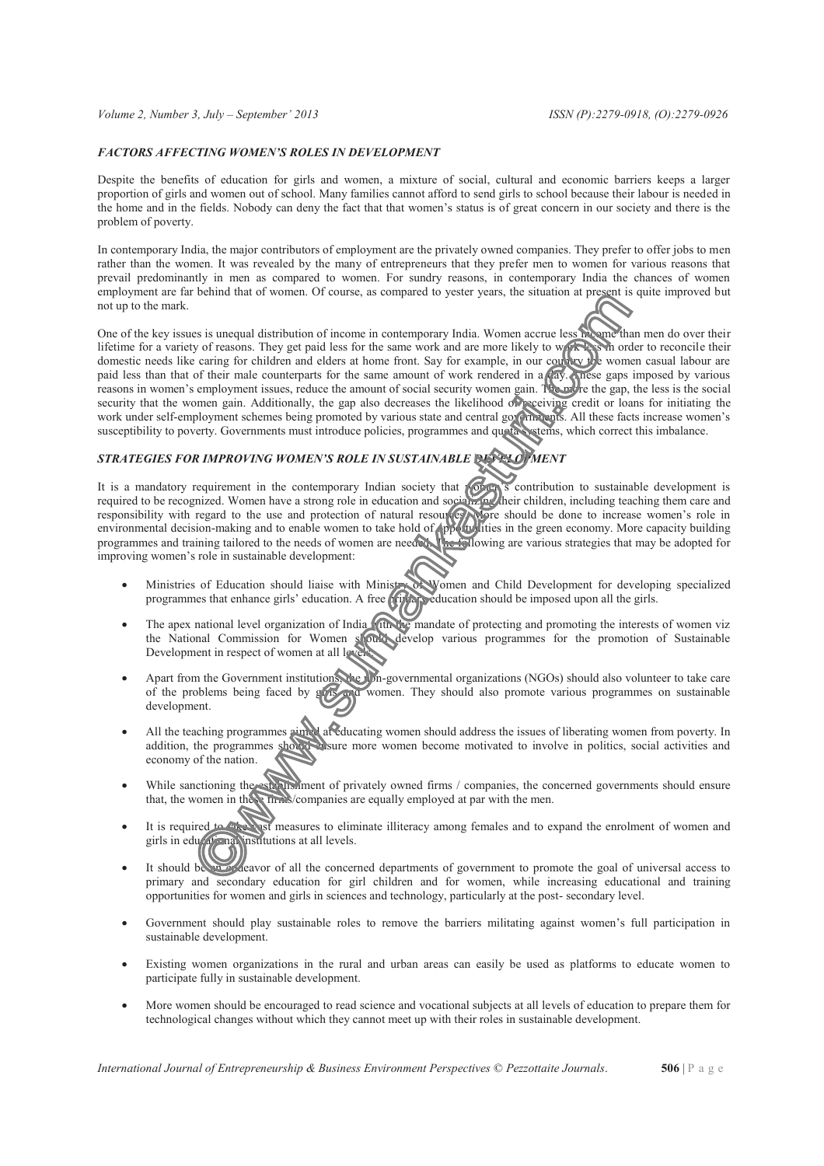### *FACTORS AFFECTING WOMEN'S ROLES IN DEVELOPMENT*

Despite the benefits of education for girls and women, a mixture of social, cultural and economic barriers keeps a larger proportion of girls and women out of school. Many families cannot afford to send girls to school because their labour is needed in the home and in the fields. Nobody can deny the fact that that women's status is of great concern in our society and there is the problem of poverty.

In contemporary India, the major contributors of employment are the privately owned companies. They prefer to offer jobs to men rather than the women. It was revealed by the many of entrepreneurs that they prefer men to women for various reasons that prevail predominantly in men as compared to women. For sundry reasons, in contemporary India the chances of women employment are far behind that of women. Of course, as compared to yester years, the situation at present is quite improved but not up to the mark.

One of the key issues is unequal distribution of income in contemporary India. Women accrue less income than men do over their lifetime for a variety of reasons. They get paid less for the same work and are more likely to work as in order to reconcile their domestic needs like caring for children and elders at home front. Say for example, in our country the women casual labour are paid less than that of their male counterparts for the same amount of work rendered in a day. These gaps imposed by various reasons in women's employment issues, reduce the amount of social security women gain. The more the gap, the less is the social security that the women gain. Additionally, the gap also decreases the likelihood of receiving credit or loans for initiating the work under self-employment schemes being promoted by various state and central governments. All these facts increase women's susceptibility to poverty. Governments must introduce policies, programmes and quota systems, which correct this imbalance.

# *STRATEGIES FOR IMPROVING WOMEN'S ROLE IN SUSTAINABLE DEVELOPMENT*

It is a mandatory requirement in the contemporary Indian society that women's contribution to sustainable development is required to be recognized. Women have a strong role in education and socializing their children, including teaching them care and responsibility with regard to the use and protection of natural resources. More should be done to increase women's role in environmental decision-making and to enable women to take hold of  $\phi$ portunities in the green economy. More capacity building programmes and training tailored to the needs of women are needed. The following are various strategies that may be adopted for improving women's role in sustainable development:

- · Ministries of Education should liaise with Ministry of Women and Child Development for developing specialized programmes that enhance girls' education. A free **primary education** should be imposed upon all the girls.
- The apex national level organization of India with the mandate of protecting and promoting the interests of women viz the National Commission for Women should develop various programmes for the promotion of Sustainable Development in respect of women at all levels.
- Apart from the Government institutions, the non-governmental organizations (NGOs) should also volunteer to take care of the problems being faced by girls and women. They should also promote various programmes on sustainable development.
- · All the teaching programmes aimed at educating women should address the issues of liberating women from poverty. In addition, the programmes showled is ure more women become motivated to involve in politics, social activities and economy of the nation.
- While sanctioning the establishment of privately owned firms / companies, the concerned governments should ensure that, the women in these firms/companies are equally employed at par with the men.
- It is required to take vast measures to eliminate illiteracy among females and to expand the enrolment of women and girls in educational institutions at all levels.
- It should be an endeavor of all the concerned departments of government to promote the goal of universal access to primary and secondary education for girl children and for women, while increasing educational and training opportunities for women and girls in sciences and technology, particularly at the post- secondary level.
- Government should play sustainable roles to remove the barriers militating against women's full participation in sustainable development.
- Existing women organizations in the rural and urban areas can easily be used as platforms to educate women to participate fully in sustainable development.
- More women should be encouraged to read science and vocational subjects at all levels of education to prepare them for technological changes without which they cannot meet up with their roles in sustainable development.

*International Journal of Entrepreneurship & Business Environment Perspectives* © *Pezzottaite Journals*. **506** | P a g e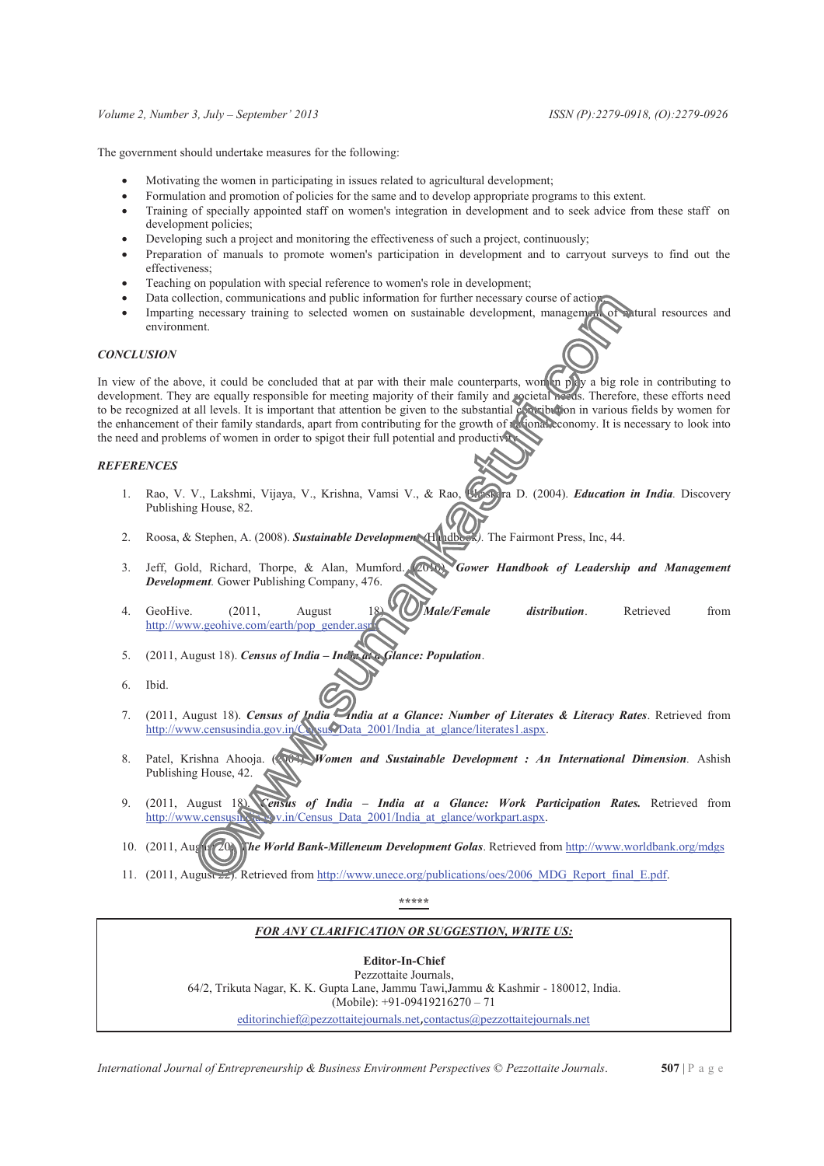#### *Volume 2, Number 3, July – September' 2013 ISSN (P):2279-0918, (O):2279-0926*

The government should undertake measures for the following:

- Motivating the women in participating in issues related to agricultural development;
- Formulation and promotion of policies for the same and to develop appropriate programs to this extent.
- · Training of specially appointed staff on women's integration in development and to seek advice from these staff on development policies;
- Developing such a project and monitoring the effectiveness of such a project, continuously;
- Preparation of manuals to promote women's participation in development and to carryout surveys to find out the effectiveness;
- Teaching on population with special reference to women's role in development;
- 
- Data collection, communications and public information for further necessary course of action;<br>Imparting necessary training to selected women on sustainable development, management of valural resources and Imparting necessary training to selected women on sustainable development, management environment.

### *CONCLUSION*

In view of the above, it could be concluded that at par with their male counterparts, women play a big role in contributing to development. They are equally responsible for meeting majority of their family and societal needs. Therefore, these efforts need to be recognized at all levels. It is important that attention be given to the substantial contribution in various fields by women for the enhancement of their family standards, apart from contributing for the growth of religional economy. It is necessary to look into the need and problems of women in order to spigot their full potential and productivity.

# *REFERENCES*

- 1. Rao, V. V., Lakshmi, Vijaya, V., Krishna, Vamsi V., & Rao, Bhaskara D. (2004). *Education in India.* Discovery Publishing House, 82.
- 2. Roosa, & Stephen, A. (2008). *Sustainable Development (*Handbook*).* The Fairmont Press, Inc, 44.
- 3. Jeff, Gold, Richard, Thorpe, & Alan, Mumford. (2010). *Gower Handbook of Leadership and Management Development.* Gower Publishing Company, 476.
- 4. GeoHive. (2011, August 18). *Male/Female distribution*. Retrieved from http://www.geohive.com/earth/pop\_gender.
- 5. (2011, August 18). *Census of India – India at a Glance: Population*.
- 6. Ibid.
- 7. (2011, August 18). *Census of India – India at a Glance: Number of Literates & Literacy Rates*. Retrieved from http://www.censusindia.gov.in/Census/Data\_2001/India\_at\_glance/literates1.aspx.
- 8. Patel, Krishna Ahooja. (2004). *Women and Sustainable Development : An International Dimension*. Ashish Publishing House, 42.
- 9. (2011, August 18). *Census of India – India at a Glance: Work Participation Rates.* Retrieved from http://www.censusindia.gov.in/Census\_Data\_2001/India\_at\_glance/workpart.aspx.
- 10. (2011, August 20). *The World Bank-Milleneum Development Golas*. Retrieved from http://www.worldbank.org/mdgs
- 11. (2011, August 22). Retrieved from http://www.unece.org/publications/oes/2006\_MDG\_Report\_final\_E.pdf.

**\*\*\*\*\***

#### *FOR ANY CLARIFICATION OR SUGGESTION, WRITE US:*

### **Editor-In-Chief**

Pezzottaite Journals, 64/2, Trikuta Nagar, K. K. Gupta Lane, Jammu Tawi,Jammu & Kashmir - 180012, India. (Mobile): +91-09419216270 – 71

editorinchief@pezzottaitejournals.net,contactus@pezzottaitejournals.net